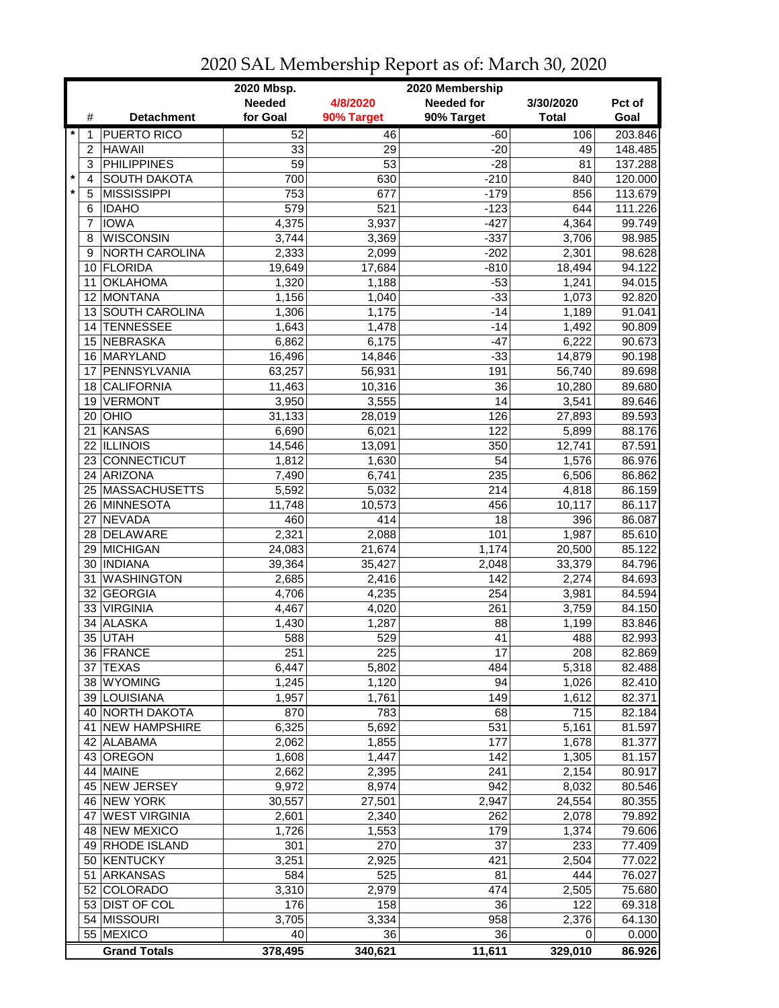|         |                | 2020 Mbsp.<br>2020 Membership |                 |                  |                   |              |                  |
|---------|----------------|-------------------------------|-----------------|------------------|-------------------|--------------|------------------|
|         |                |                               | <b>Needed</b>   | 4/8/2020         | <b>Needed for</b> | 3/30/2020    | Pct of           |
|         | #              | <b>Detachment</b>             | for Goal        | 90% Target       | 90% Target        | <b>Total</b> | Goal             |
| $\star$ | 1              | <b>PUERTO RICO</b>            | 52              | 46               | $-60$             | 106          | 203.846          |
|         | $\overline{c}$ | <b>HAWAII</b>                 | 33              | 29               | $-20$             | 49           | 148.485          |
|         | 3              | <b>PHILIPPINES</b>            | $\overline{59}$ | $\overline{53}$  | $-28$             | 81           | 137.288          |
| $\star$ | 4              | <b>SOUTH DAKOTA</b>           | 700             | 630              | $-210$            | 840          | 120.000          |
| $\star$ | 5              | <b>MISSISSIPPI</b>            | 753             | 677              | $-179$            | 856          | 113.679          |
|         | 6              | <b>IDAHO</b>                  | 579             | $\overline{521}$ | $-123$            | 644          | 111.226          |
|         | 7              | <b>IOWA</b>                   | 4,375           | 3,937            | $-427$            | 4,364        | 99.749           |
|         | 8              | <b>WISCONSIN</b>              | 3,744           | 3,369            | $-337$            | 3,706        | 98.985           |
|         | 9              | NORTH CAROLINA                | 2,333           | 2,099            | $-202$            | 2,301        | 98.628           |
|         | 10             | <b>FLORIDA</b>                | 19,649          | 17,684           | $-810$            | 18,494       | 94.122           |
|         | 11             | <b>OKLAHOMA</b>               | 1,320           | 1,188            | $-53$             | 1,241        | 94.015           |
|         | 12             | <b>MONTANA</b>                | 1,156           | 1,040            | $-33$             | 1,073        | 92.820           |
|         |                | 13 SOUTH CAROLINA             | 1,306           | 1,175            | $-14$             | 1,189        | 91.041           |
|         | 14             | <b>TENNESSEE</b>              | 1,643           | 1,478            | $-14$             | 1,492        | 90.809           |
|         | 15             | NEBRASKA                      | 6,862           |                  |                   | 6,222        | 90.673           |
|         |                |                               |                 | 6,175            | $-47$             |              |                  |
|         |                | 16 MARYLAND<br>PENNSYLVANIA   | 16,496          | 14,846           | $-33$             | 14,879       | 90.198           |
|         | 17             | <b>CALIFORNIA</b>             | 63,257          | 56,931           | 191<br>36         | 56,740       | 89.698<br>89.680 |
|         | 18             |                               | 11,463          | 10,316           |                   | 10,280       |                  |
|         | 19             | <b>VERMONT</b>                | 3,950           | 3,555            | 14                | 3,541        | 89.646           |
|         |                | $20$ OHIO                     | 31,133          | 28,019           | 126               | 27,893       | 89.593           |
|         | 21             | KANSAS                        | 6,690           | 6,021            | 122               | 5,899        | 88.176           |
|         |                | 22 ILLINOIS                   | 14,546          | 13,091           | 350               | 12,741       | 87.591           |
|         |                | 23 CONNECTICUT                | 1,812           | 1,630            | $\overline{54}$   | 1,576        | 86.976           |
|         |                | 24 ARIZONA                    | 7,490           | 6,741            | 235               | 6,506        | 86.862           |
|         |                | 25 MASSACHUSETTS              | 5,592           | 5,032            | 214               | 4,818        | 86.159           |
|         |                | 26 MINNESOTA                  | 11,748          | 10,573           | 456               | 10,117       | 86.117           |
|         | 27             | <b>NEVADA</b>                 | 460             | 414              | 18                | 396          | 86.087           |
|         |                | 28 DELAWARE                   | 2,321           | 2,088            | 101               | 1,987        | 85.610           |
|         | 29             | <b>MICHIGAN</b>               | 24,083          | 21,674           | 1,174             | 20,500       | 85.122           |
|         |                | 30   INDIANA                  | 39,364          | 35,427           | 2,048             | 33,379       | 84.796           |
|         | 31             | <b>WASHINGTON</b>             | 2,685           | 2,416            | 142               | 2,274        | 84.693           |
|         |                | 32 GEORGIA                    | 4,706           | 4,235            | 254               | 3,981        | 84.594           |
|         |                | 33 VIRGINIA                   | 4,467           | 4,020            | 261               | 3,759        | 84.150           |
|         | 34             | <b>ALASKA</b>                 | 1,430           | 1,287            | 88                | 1,199        | 83.846           |
|         |                | 35 UTAH                       | 588             | 529              | 41                | 488          | 82.993           |
|         |                | 36 FRANCE                     | 251             | 225              | $\overline{17}$   | 208          | 82.869           |
|         |                | 37 TEXAS                      | 6,447           | 5,802            | 484               | 5,318        | 82.488           |
|         |                | 38 WYOMING                    | 1,245           | 1,120            | 94                | 1,026        | 82.410           |
|         |                | 39 LOUISIANA                  | 1,957           | 1,761            | 149               | 1,612        | 82.371           |
|         |                | 40 NORTH DAKOTA               | 870             | 783              | 68                | 715          | 82.184           |
|         |                | 41 NEW HAMPSHIRE              | 6,325           | 5,692            | 531               | 5,161        | 81.597           |
|         |                | 42 ALABAMA                    | 2,062           | 1,855            | 177               | 1,678        | 81.377           |
|         |                | 43 OREGON                     | 1,608           | 1,447            | 142               | 1,305        | 81.157           |
|         |                | 44 MAINE                      | 2,662           | 2,395            | 241               | 2,154        | 80.917           |
|         |                | 45 NEW JERSEY                 | 9,972           | 8,974            | 942               | 8,032        | 80.546           |
|         |                | 46 NEW YORK                   | 30,557          | 27,501           | 2,947             | 24,554       | 80.355           |
|         | 47             | <b>WEST VIRGINIA</b>          | 2,601           | 2,340            | 262               | 2,078        | 79.892           |
|         |                | 48 NEW MEXICO                 | 1,726           | 1,553            | 179               | 1,374        | 79.606           |
|         |                | 49 RHODE ISLAND               | 301             | 270              | 37                | 233          | 77.409           |
|         |                | 50 KENTUCKY                   | 3,251           | 2,925            | 421               | 2,504        | 77.022           |
|         | 51             | <b>ARKANSAS</b>               | 584             | 525              | 81                | 444          | 76.027           |
|         |                | 52 COLORADO                   | 3,310           | 2,979            | 474               | 2,505        | 75.680           |
|         |                | 53 DIST OF COL                | 176             | 158              | 36                | 122          | 69.318           |
|         |                | 54 MISSOURI                   | 3,705           | 3,334            | 958               | 2,376        | 64.130           |
|         |                | 55 MEXICO                     | 40              | 36               | 36                | 0            | 0.000            |
|         |                | <b>Grand Totals</b>           | 378,495         | 340,621          | 11,611            | 329,010      | 86.926           |

## 2020 SAL Membership Report as of: March 30, 2020